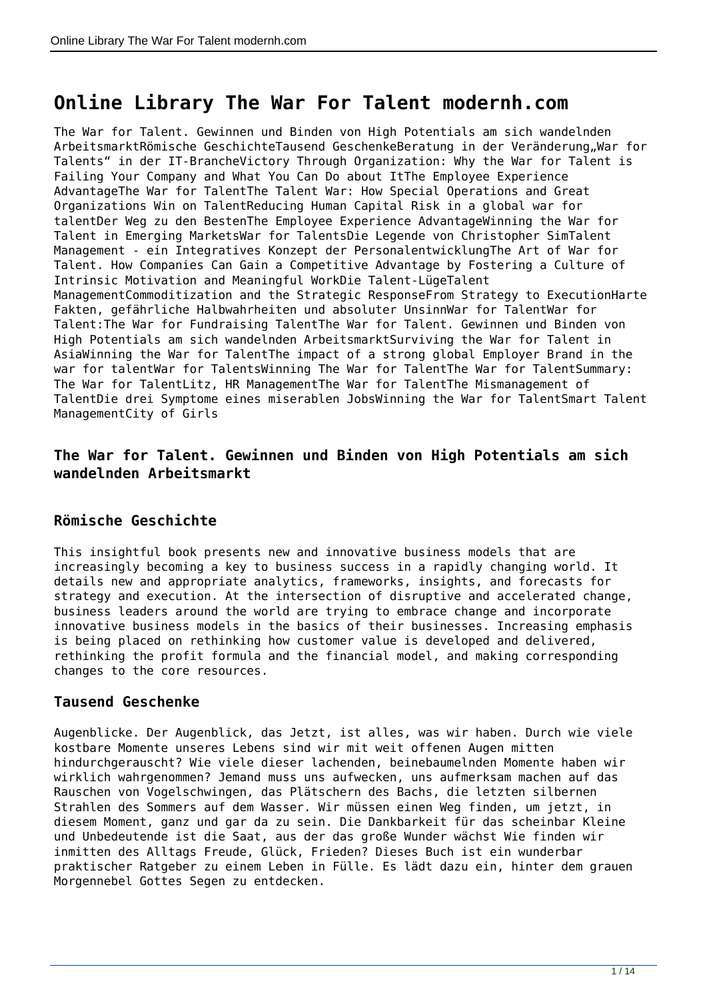# **Online Library The War For Talent modernh.com**

The War for Talent. Gewinnen und Binden von High Potentials am sich wandelnden ArbeitsmarktRömische GeschichteTausend GeschenkeBeratung in der Veränderung, War for Talents" in der IT-BrancheVictory Through Organization: Why the War for Talent is Failing Your Company and What You Can Do about ItThe Employee Experience AdvantageThe War for TalentThe Talent War: How Special Operations and Great Organizations Win on TalentReducing Human Capital Risk in a global war for talentDer Weg zu den BestenThe Employee Experience AdvantageWinning the War for Talent in Emerging MarketsWar for TalentsDie Legende von Christopher SimTalent Management - ein Integratives Konzept der PersonalentwicklungThe Art of War for Talent. How Companies Can Gain a Competitive Advantage by Fostering a Culture of Intrinsic Motivation and Meaningful WorkDie Talent-LügeTalent ManagementCommoditization and the Strategic ResponseFrom Strategy to ExecutionHarte Fakten, gefährliche Halbwahrheiten und absoluter UnsinnWar for TalentWar for Talent:The War for Fundraising TalentThe War for Talent. Gewinnen und Binden von High Potentials am sich wandelnden ArbeitsmarktSurviving the War for Talent in AsiaWinning the War for TalentThe impact of a strong global Employer Brand in the war for talentWar for TalentsWinning The War for TalentThe War for TalentSummary: The War for TalentLitz, HR ManagementThe War for TalentThe Mismanagement of TalentDie drei Symptome eines miserablen JobsWinning the War for TalentSmart Talent ManagementCity of Girls

## **The War for Talent. Gewinnen und Binden von High Potentials am sich wandelnden Arbeitsmarkt**

## **Römische Geschichte**

This insightful book presents new and innovative business models that are increasingly becoming a key to business success in a rapidly changing world. It details new and appropriate analytics, frameworks, insights, and forecasts for strategy and execution. At the intersection of disruptive and accelerated change, business leaders around the world are trying to embrace change and incorporate innovative business models in the basics of their businesses. Increasing emphasis is being placed on rethinking how customer value is developed and delivered, rethinking the profit formula and the financial model, and making corresponding changes to the core resources.

## **Tausend Geschenke**

Augenblicke. Der Augenblick, das Jetzt, ist alles, was wir haben. Durch wie viele kostbare Momente unseres Lebens sind wir mit weit offenen Augen mitten hindurchgerauscht? Wie viele dieser lachenden, beinebaumelnden Momente haben wir wirklich wahrgenommen? Jemand muss uns aufwecken, uns aufmerksam machen auf das Rauschen von Vogelschwingen, das Plätschern des Bachs, die letzten silbernen Strahlen des Sommers auf dem Wasser. Wir müssen einen Weg finden, um jetzt, in diesem Moment, ganz und gar da zu sein. Die Dankbarkeit für das scheinbar Kleine und Unbedeutende ist die Saat, aus der das große Wunder wächst Wie finden wir inmitten des Alltags Freude, Glück, Frieden? Dieses Buch ist ein wunderbar praktischer Ratgeber zu einem Leben in Fülle. Es lädt dazu ein, hinter dem grauen Morgennebel Gottes Segen zu entdecken.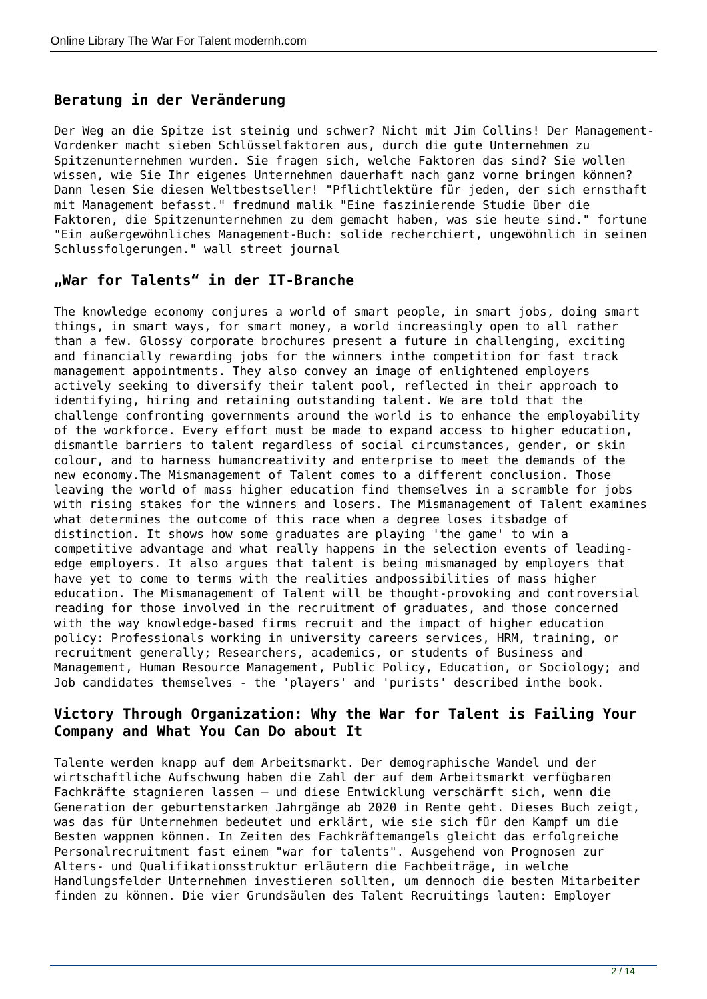## **Beratung in der Veränderung**

Der Weg an die Spitze ist steinig und schwer? Nicht mit Jim Collins! Der Management-Vordenker macht sieben Schlüsselfaktoren aus, durch die gute Unternehmen zu Spitzenunternehmen wurden. Sie fragen sich, welche Faktoren das sind? Sie wollen wissen, wie Sie Ihr eigenes Unternehmen dauerhaft nach ganz vorne bringen können? Dann lesen Sie diesen Weltbestseller! "Pflichtlektüre für jeden, der sich ernsthaft mit Management befasst." fredmund malik "Eine faszinierende Studie über die Faktoren, die Spitzenunternehmen zu dem gemacht haben, was sie heute sind." fortune "Ein außergewöhnliches Management-Buch: solide recherchiert, ungewöhnlich in seinen Schlussfolgerungen." wall street journal

#### **"War for Talents" in der IT-Branche**

The knowledge economy conjures a world of smart people, in smart jobs, doing smart things, in smart ways, for smart money, a world increasingly open to all rather than a few. Glossy corporate brochures present a future in challenging, exciting and financially rewarding jobs for the winners inthe competition for fast track management appointments. They also convey an image of enlightened employers actively seeking to diversify their talent pool, reflected in their approach to identifying, hiring and retaining outstanding talent. We are told that the challenge confronting governments around the world is to enhance the employability of the workforce. Every effort must be made to expand access to higher education, dismantle barriers to talent regardless of social circumstances, gender, or skin colour, and to harness humancreativity and enterprise to meet the demands of the new economy.The Mismanagement of Talent comes to a different conclusion. Those leaving the world of mass higher education find themselves in a scramble for jobs with rising stakes for the winners and losers. The Mismanagement of Talent examines what determines the outcome of this race when a degree loses itsbadge of distinction. It shows how some graduates are playing 'the game' to win a competitive advantage and what really happens in the selection events of leadingedge employers. It also argues that talent is being mismanaged by employers that have yet to come to terms with the realities andpossibilities of mass higher education. The Mismanagement of Talent will be thought-provoking and controversial reading for those involved in the recruitment of graduates, and those concerned with the way knowledge-based firms recruit and the impact of higher education policy: Professionals working in university careers services, HRM, training, or recruitment generally; Researchers, academics, or students of Business and Management, Human Resource Management, Public Policy, Education, or Sociology; and Job candidates themselves - the 'players' and 'purists' described inthe book.

## **Victory Through Organization: Why the War for Talent is Failing Your Company and What You Can Do about It**

Talente werden knapp auf dem Arbeitsmarkt. Der demographische Wandel und der wirtschaftliche Aufschwung haben die Zahl der auf dem Arbeitsmarkt verfügbaren Fachkräfte stagnieren lassen – und diese Entwicklung verschärft sich, wenn die Generation der geburtenstarken Jahrgänge ab 2020 in Rente geht. Dieses Buch zeigt, was das für Unternehmen bedeutet und erklärt, wie sie sich für den Kampf um die Besten wappnen können. In Zeiten des Fachkräftemangels gleicht das erfolgreiche Personalrecruitment fast einem "war for talents". Ausgehend von Prognosen zur Alters- und Qualifikationsstruktur erläutern die Fachbeiträge, in welche Handlungsfelder Unternehmen investieren sollten, um dennoch die besten Mitarbeiter finden zu können. Die vier Grundsäulen des Talent Recruitings lauten: Employer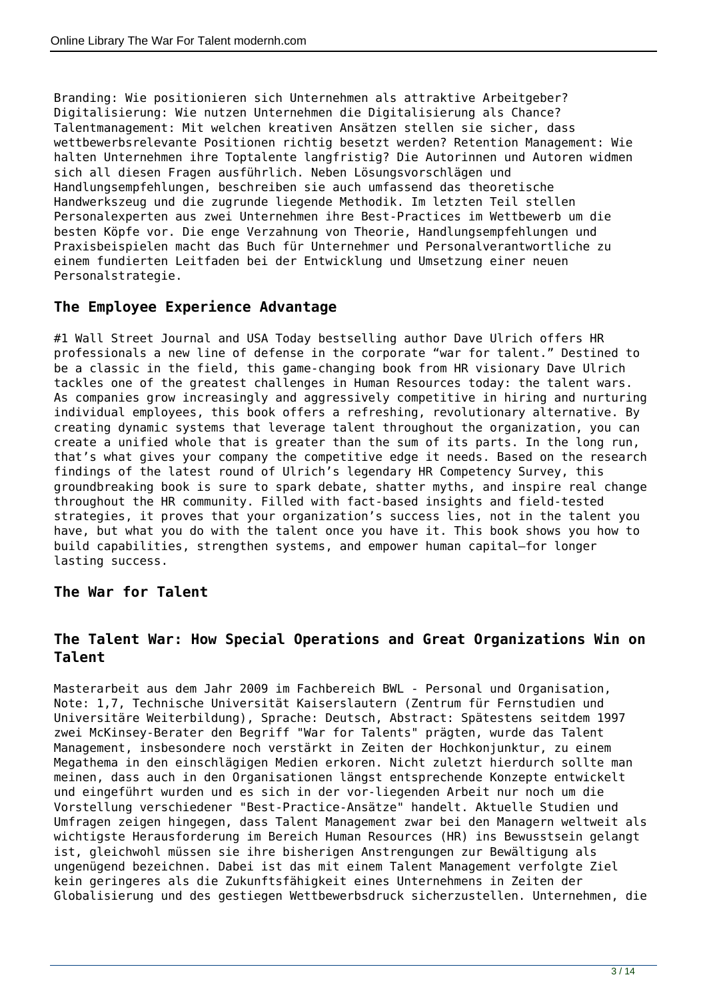Branding: Wie positionieren sich Unternehmen als attraktive Arbeitgeber? Digitalisierung: Wie nutzen Unternehmen die Digitalisierung als Chance? Talentmanagement: Mit welchen kreativen Ansätzen stellen sie sicher, dass wettbewerbsrelevante Positionen richtig besetzt werden? Retention Management: Wie halten Unternehmen ihre Toptalente langfristig? Die Autorinnen und Autoren widmen sich all diesen Fragen ausführlich. Neben Lösungsvorschlägen und Handlungsempfehlungen, beschreiben sie auch umfassend das theoretische Handwerkszeug und die zugrunde liegende Methodik. Im letzten Teil stellen Personalexperten aus zwei Unternehmen ihre Best-Practices im Wettbewerb um die besten Köpfe vor. Die enge Verzahnung von Theorie, Handlungsempfehlungen und Praxisbeispielen macht das Buch für Unternehmer und Personalverantwortliche zu einem fundierten Leitfaden bei der Entwicklung und Umsetzung einer neuen Personalstrategie.

#### **The Employee Experience Advantage**

#1 Wall Street Journal and USA Today bestselling author Dave Ulrich offers HR professionals a new line of defense in the corporate "war for talent." Destined to be a classic in the field, this game-changing book from HR visionary Dave Ulrich tackles one of the greatest challenges in Human Resources today: the talent wars. As companies grow increasingly and aggressively competitive in hiring and nurturing individual employees, this book offers a refreshing, revolutionary alternative. By creating dynamic systems that leverage talent throughout the organization, you can create a unified whole that is greater than the sum of its parts. In the long run, that's what gives your company the competitive edge it needs. Based on the research findings of the latest round of Ulrich's legendary HR Competency Survey, this groundbreaking book is sure to spark debate, shatter myths, and inspire real change throughout the HR community. Filled with fact-based insights and field-tested strategies, it proves that your organization's success lies, not in the talent you have, but what you do with the talent once you have it. This book shows you how to build capabilities, strengthen systems, and empower human capital—for longer lasting success.

## **The War for Talent**

#### **The Talent War: How Special Operations and Great Organizations Win on Talent**

Masterarbeit aus dem Jahr 2009 im Fachbereich BWL - Personal und Organisation, Note: 1,7, Technische Universität Kaiserslautern (Zentrum für Fernstudien und Universitäre Weiterbildung), Sprache: Deutsch, Abstract: Spätestens seitdem 1997 zwei McKinsey-Berater den Begriff "War for Talents" prägten, wurde das Talent Management, insbesondere noch verstärkt in Zeiten der Hochkonjunktur, zu einem Megathema in den einschlägigen Medien erkoren. Nicht zuletzt hierdurch sollte man meinen, dass auch in den Organisationen längst entsprechende Konzepte entwickelt und eingeführt wurden und es sich in der vor-liegenden Arbeit nur noch um die Vorstellung verschiedener "Best-Practice-Ansätze" handelt. Aktuelle Studien und Umfragen zeigen hingegen, dass Talent Management zwar bei den Managern weltweit als wichtigste Herausforderung im Bereich Human Resources (HR) ins Bewusstsein gelangt ist, gleichwohl müssen sie ihre bisherigen Anstrengungen zur Bewältigung als ungenügend bezeichnen. Dabei ist das mit einem Talent Management verfolgte Ziel kein geringeres als die Zukunftsfähigkeit eines Unternehmens in Zeiten der Globalisierung und des gestiegen Wettbewerbsdruck sicherzustellen. Unternehmen, die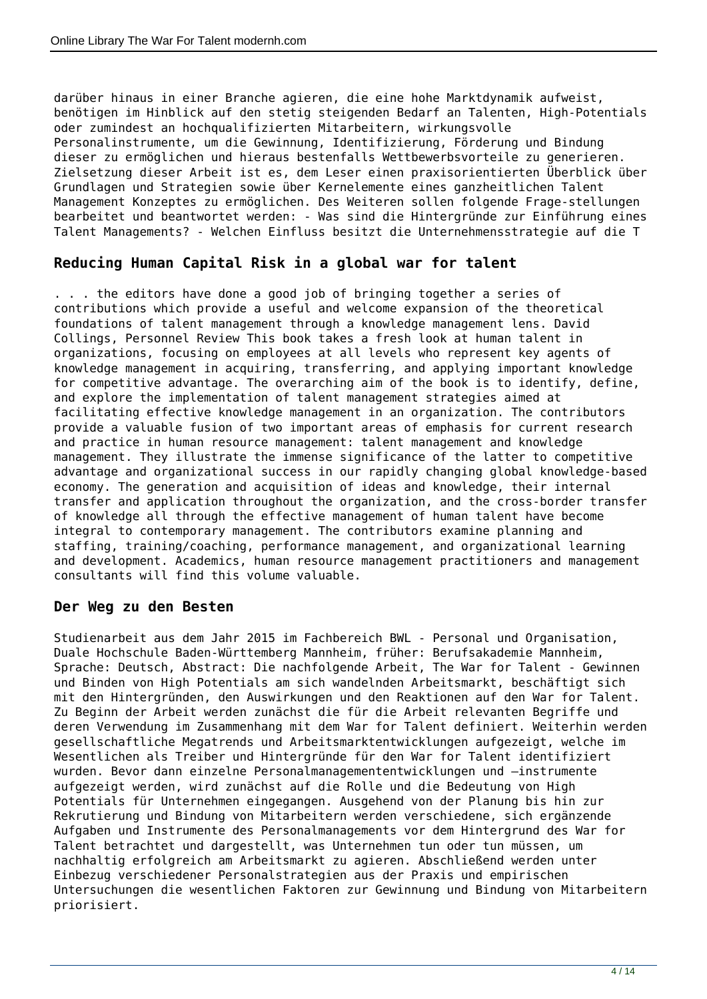darüber hinaus in einer Branche agieren, die eine hohe Marktdynamik aufweist, benötigen im Hinblick auf den stetig steigenden Bedarf an Talenten, High-Potentials oder zumindest an hochqualifizierten Mitarbeitern, wirkungsvolle Personalinstrumente, um die Gewinnung, Identifizierung, Förderung und Bindung dieser zu ermöglichen und hieraus bestenfalls Wettbewerbsvorteile zu generieren. Zielsetzung dieser Arbeit ist es, dem Leser einen praxisorientierten Überblick über Grundlagen und Strategien sowie über Kernelemente eines ganzheitlichen Talent Management Konzeptes zu ermöglichen. Des Weiteren sollen folgende Frage-stellungen bearbeitet und beantwortet werden: - Was sind die Hintergründe zur Einführung eines Talent Managements? - Welchen Einfluss besitzt die Unternehmensstrategie auf die T

## **Reducing Human Capital Risk in a global war for talent**

. . . the editors have done a good job of bringing together a series of contributions which provide a useful and welcome expansion of the theoretical foundations of talent management through a knowledge management lens. David Collings, Personnel Review This book takes a fresh look at human talent in organizations, focusing on employees at all levels who represent key agents of knowledge management in acquiring, transferring, and applying important knowledge for competitive advantage. The overarching aim of the book is to identify, define, and explore the implementation of talent management strategies aimed at facilitating effective knowledge management in an organization. The contributors provide a valuable fusion of two important areas of emphasis for current research and practice in human resource management: talent management and knowledge management. They illustrate the immense significance of the latter to competitive advantage and organizational success in our rapidly changing global knowledge-based economy. The generation and acquisition of ideas and knowledge, their internal transfer and application throughout the organization, and the cross-border transfer of knowledge all through the effective management of human talent have become integral to contemporary management. The contributors examine planning and staffing, training/coaching, performance management, and organizational learning and development. Academics, human resource management practitioners and management consultants will find this volume valuable.

#### **Der Weg zu den Besten**

Studienarbeit aus dem Jahr 2015 im Fachbereich BWL - Personal und Organisation, Duale Hochschule Baden-Württemberg Mannheim, früher: Berufsakademie Mannheim, Sprache: Deutsch, Abstract: Die nachfolgende Arbeit, The War for Talent - Gewinnen und Binden von High Potentials am sich wandelnden Arbeitsmarkt, beschäftigt sich mit den Hintergründen, den Auswirkungen und den Reaktionen auf den War for Talent. Zu Beginn der Arbeit werden zunächst die für die Arbeit relevanten Begriffe und deren Verwendung im Zusammenhang mit dem War for Talent definiert. Weiterhin werden gesellschaftliche Megatrends und Arbeitsmarktentwicklungen aufgezeigt, welche im Wesentlichen als Treiber und Hintergründe für den War for Talent identifiziert wurden. Bevor dann einzelne Personalmanagemententwicklungen und –instrumente aufgezeigt werden, wird zunächst auf die Rolle und die Bedeutung von High Potentials für Unternehmen eingegangen. Ausgehend von der Planung bis hin zur Rekrutierung und Bindung von Mitarbeitern werden verschiedene, sich ergänzende Aufgaben und Instrumente des Personalmanagements vor dem Hintergrund des War for Talent betrachtet und dargestellt, was Unternehmen tun oder tun müssen, um nachhaltig erfolgreich am Arbeitsmarkt zu agieren. Abschließend werden unter Einbezug verschiedener Personalstrategien aus der Praxis und empirischen Untersuchungen die wesentlichen Faktoren zur Gewinnung und Bindung von Mitarbeitern priorisiert.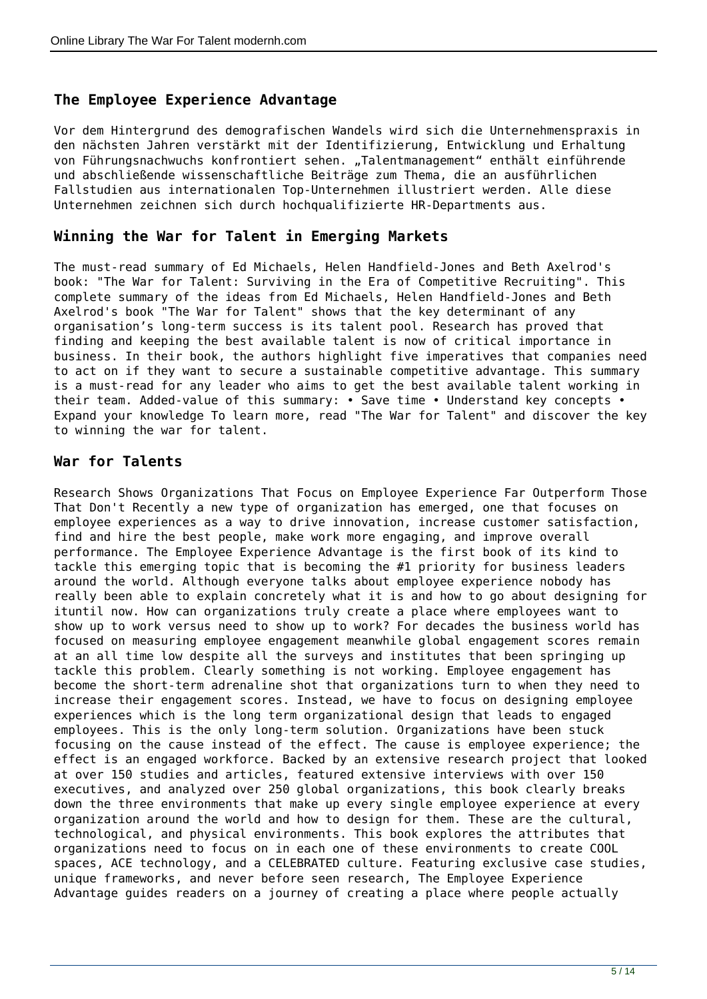## **The Employee Experience Advantage**

Vor dem Hintergrund des demografischen Wandels wird sich die Unternehmenspraxis in den nächsten Jahren verstärkt mit der Identifizierung, Entwicklung und Erhaltung von Führungsnachwuchs konfrontiert sehen. "Talentmanagement" enthält einführende und abschließende wissenschaftliche Beiträge zum Thema, die an ausführlichen Fallstudien aus internationalen Top-Unternehmen illustriert werden. Alle diese Unternehmen zeichnen sich durch hochqualifizierte HR-Departments aus.

#### **Winning the War for Talent in Emerging Markets**

The must-read summary of Ed Michaels, Helen Handfield-Jones and Beth Axelrod's book: "The War for Talent: Surviving in the Era of Competitive Recruiting". This complete summary of the ideas from Ed Michaels, Helen Handfield-Jones and Beth Axelrod's book "The War for Talent" shows that the key determinant of any organisation's long-term success is its talent pool. Research has proved that finding and keeping the best available talent is now of critical importance in business. In their book, the authors highlight five imperatives that companies need to act on if they want to secure a sustainable competitive advantage. This summary is a must-read for any leader who aims to get the best available talent working in their team. Added-value of this summary: • Save time • Understand key concepts • Expand your knowledge To learn more, read "The War for Talent" and discover the key to winning the war for talent.

#### **War for Talents**

Research Shows Organizations That Focus on Employee Experience Far Outperform Those That Don't Recently a new type of organization has emerged, one that focuses on employee experiences as a way to drive innovation, increase customer satisfaction, find and hire the best people, make work more engaging, and improve overall performance. The Employee Experience Advantage is the first book of its kind to tackle this emerging topic that is becoming the #1 priority for business leaders around the world. Although everyone talks about employee experience nobody has really been able to explain concretely what it is and how to go about designing for ituntil now. How can organizations truly create a place where employees want to show up to work versus need to show up to work? For decades the business world has focused on measuring employee engagement meanwhile global engagement scores remain at an all time low despite all the surveys and institutes that been springing up tackle this problem. Clearly something is not working. Employee engagement has become the short-term adrenaline shot that organizations turn to when they need to increase their engagement scores. Instead, we have to focus on designing employee experiences which is the long term organizational design that leads to engaged employees. This is the only long-term solution. Organizations have been stuck focusing on the cause instead of the effect. The cause is employee experience; the effect is an engaged workforce. Backed by an extensive research project that looked at over 150 studies and articles, featured extensive interviews with over 150 executives, and analyzed over 250 global organizations, this book clearly breaks down the three environments that make up every single employee experience at every organization around the world and how to design for them. These are the cultural, technological, and physical environments. This book explores the attributes that organizations need to focus on in each one of these environments to create COOL spaces, ACE technology, and a CELEBRATED culture. Featuring exclusive case studies, unique frameworks, and never before seen research, The Employee Experience Advantage guides readers on a journey of creating a place where people actually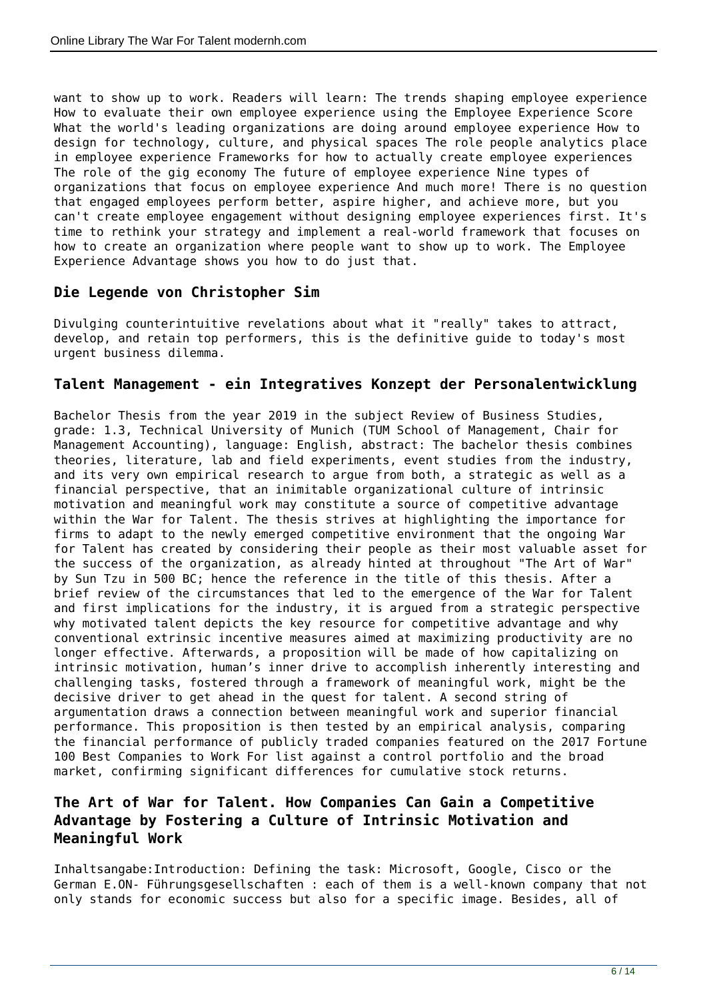want to show up to work. Readers will learn: The trends shaping employee experience How to evaluate their own employee experience using the Employee Experience Score What the world's leading organizations are doing around employee experience How to design for technology, culture, and physical spaces The role people analytics place in employee experience Frameworks for how to actually create employee experiences The role of the gig economy The future of employee experience Nine types of organizations that focus on employee experience And much more! There is no question that engaged employees perform better, aspire higher, and achieve more, but you can't create employee engagement without designing employee experiences first. It's time to rethink your strategy and implement a real-world framework that focuses on how to create an organization where people want to show up to work. The Employee Experience Advantage shows you how to do just that.

## **Die Legende von Christopher Sim**

Divulging counterintuitive revelations about what it "really" takes to attract, develop, and retain top performers, this is the definitive guide to today's most urgent business dilemma.

## **Talent Management - ein Integratives Konzept der Personalentwicklung**

Bachelor Thesis from the year 2019 in the subject Review of Business Studies, grade: 1.3, Technical University of Munich (TUM School of Management, Chair for Management Accounting), language: English, abstract: The bachelor thesis combines theories, literature, lab and field experiments, event studies from the industry, and its very own empirical research to argue from both, a strategic as well as a financial perspective, that an inimitable organizational culture of intrinsic motivation and meaningful work may constitute a source of competitive advantage within the War for Talent. The thesis strives at highlighting the importance for firms to adapt to the newly emerged competitive environment that the ongoing War for Talent has created by considering their people as their most valuable asset for the success of the organization, as already hinted at throughout "The Art of War" by Sun Tzu in 500 BC; hence the reference in the title of this thesis. After a brief review of the circumstances that led to the emergence of the War for Talent and first implications for the industry, it is argued from a strategic perspective why motivated talent depicts the key resource for competitive advantage and why conventional extrinsic incentive measures aimed at maximizing productivity are no longer effective. Afterwards, a proposition will be made of how capitalizing on intrinsic motivation, human's inner drive to accomplish inherently interesting and challenging tasks, fostered through a framework of meaningful work, might be the decisive driver to get ahead in the quest for talent. A second string of argumentation draws a connection between meaningful work and superior financial performance. This proposition is then tested by an empirical analysis, comparing the financial performance of publicly traded companies featured on the 2017 Fortune 100 Best Companies to Work For list against a control portfolio and the broad market, confirming significant differences for cumulative stock returns.

## **The Art of War for Talent. How Companies Can Gain a Competitive Advantage by Fostering a Culture of Intrinsic Motivation and Meaningful Work**

Inhaltsangabe:Introduction: Defining the task: Microsoft, Google, Cisco or the German E.ON- Führungsgesellschaften : each of them is a well-known company that not only stands for economic success but also for a specific image. Besides, all of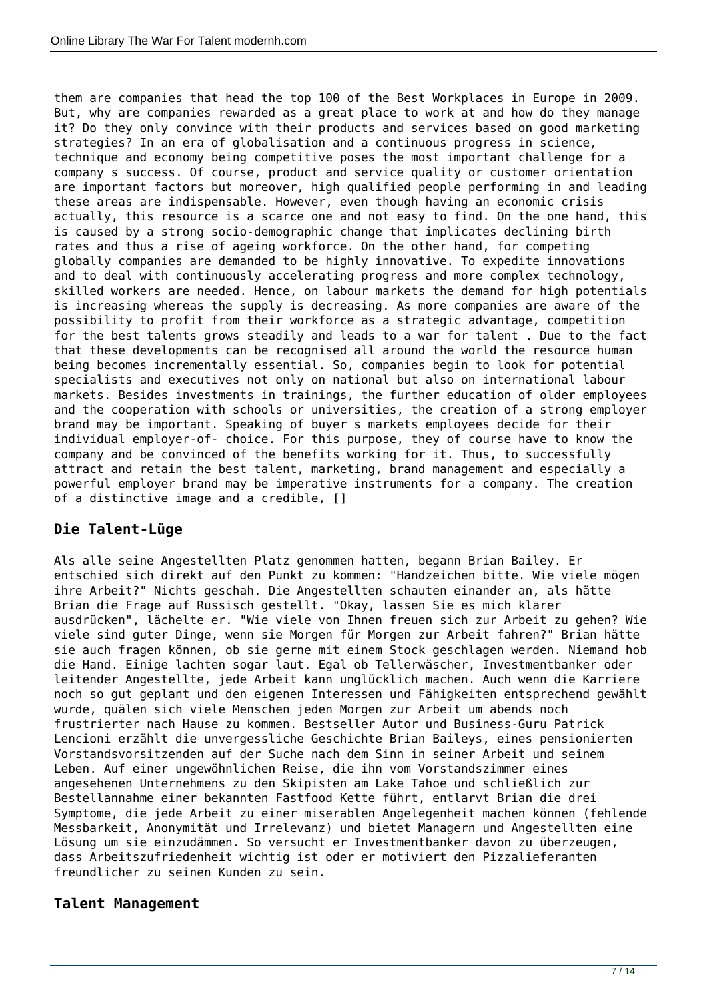them are companies that head the top 100 of the Best Workplaces in Europe in 2009. But, why are companies rewarded as a great place to work at and how do they manage it? Do they only convince with their products and services based on good marketing strategies? In an era of globalisation and a continuous progress in science, technique and economy being competitive poses the most important challenge for a company s success. Of course, product and service quality or customer orientation are important factors but moreover, high qualified people performing in and leading these areas are indispensable. However, even though having an economic crisis actually, this resource is a scarce one and not easy to find. On the one hand, this is caused by a strong socio-demographic change that implicates declining birth rates and thus a rise of ageing workforce. On the other hand, for competing globally companies are demanded to be highly innovative. To expedite innovations and to deal with continuously accelerating progress and more complex technology, skilled workers are needed. Hence, on labour markets the demand for high potentials is increasing whereas the supply is decreasing. As more companies are aware of the possibility to profit from their workforce as a strategic advantage, competition for the best talents grows steadily and leads to a war for talent . Due to the fact that these developments can be recognised all around the world the resource human being becomes incrementally essential. So, companies begin to look for potential specialists and executives not only on national but also on international labour markets. Besides investments in trainings, the further education of older employees and the cooperation with schools or universities, the creation of a strong employer brand may be important. Speaking of buyer s markets employees decide for their individual employer-of- choice. For this purpose, they of course have to know the company and be convinced of the benefits working for it. Thus, to successfully attract and retain the best talent, marketing, brand management and especially a powerful employer brand may be imperative instruments for a company. The creation of a distinctive image and a credible, []

## **Die Talent-Lüge**

Als alle seine Angestellten Platz genommen hatten, begann Brian Bailey. Er entschied sich direkt auf den Punkt zu kommen: "Handzeichen bitte. Wie viele mögen ihre Arbeit?" Nichts geschah. Die Angestellten schauten einander an, als hätte Brian die Frage auf Russisch gestellt. "Okay, lassen Sie es mich klarer ausdrücken", lächelte er. "Wie viele von Ihnen freuen sich zur Arbeit zu gehen? Wie viele sind guter Dinge, wenn sie Morgen für Morgen zur Arbeit fahren?" Brian hätte sie auch fragen können, ob sie gerne mit einem Stock geschlagen werden. Niemand hob die Hand. Einige lachten sogar laut. Egal ob Tellerwäscher, Investmentbanker oder leitender Angestellte, jede Arbeit kann unglücklich machen. Auch wenn die Karriere noch so gut geplant und den eigenen Interessen und Fähigkeiten entsprechend gewählt wurde, quälen sich viele Menschen jeden Morgen zur Arbeit um abends noch frustrierter nach Hause zu kommen. Bestseller Autor und Business-Guru Patrick Lencioni erzählt die unvergessliche Geschichte Brian Baileys, eines pensionierten Vorstandsvorsitzenden auf der Suche nach dem Sinn in seiner Arbeit und seinem Leben. Auf einer ungewöhnlichen Reise, die ihn vom Vorstandszimmer eines angesehenen Unternehmens zu den Skipisten am Lake Tahoe und schließlich zur Bestellannahme einer bekannten Fastfood Kette führt, entlarvt Brian die drei Symptome, die jede Arbeit zu einer miserablen Angelegenheit machen können (fehlende Messbarkeit, Anonymität und Irrelevanz) und bietet Managern und Angestellten eine Lösung um sie einzudämmen. So versucht er Investmentbanker davon zu überzeugen, dass Arbeitszufriedenheit wichtig ist oder er motiviert den Pizzalieferanten freundlicher zu seinen Kunden zu sein.

## **Talent Management**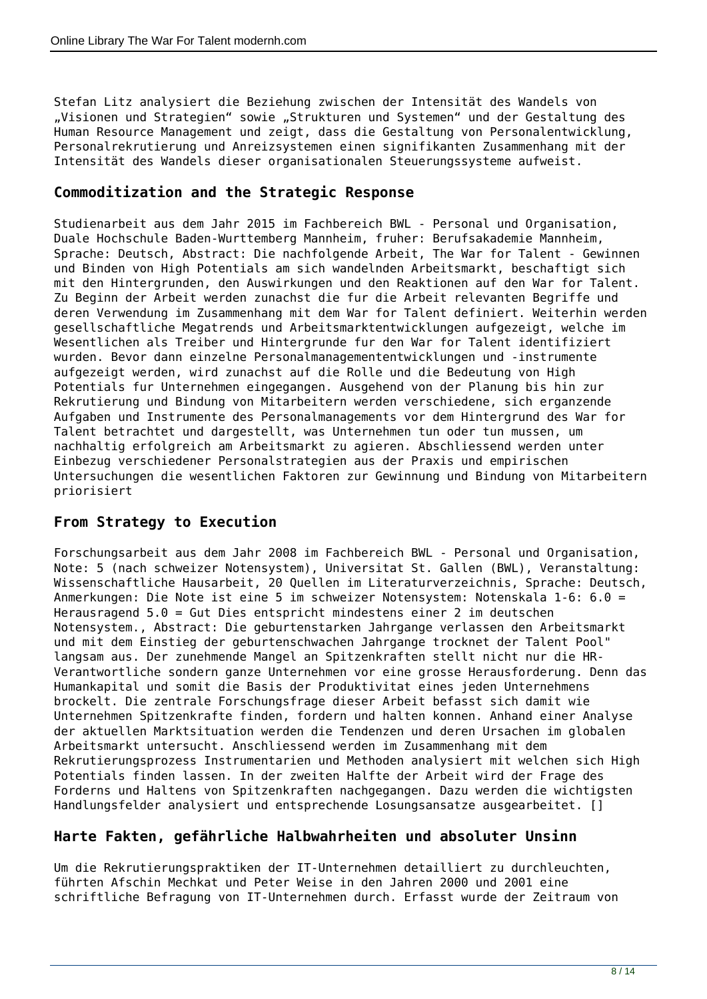Stefan Litz analysiert die Beziehung zwischen der Intensität des Wandels von "Visionen und Strategien" sowie "Strukturen und Systemen" und der Gestaltung des Human Resource Management und zeigt, dass die Gestaltung von Personalentwicklung, Personalrekrutierung und Anreizsystemen einen signifikanten Zusammenhang mit der Intensität des Wandels dieser organisationalen Steuerungssysteme aufweist.

## **Commoditization and the Strategic Response**

Studienarbeit aus dem Jahr 2015 im Fachbereich BWL - Personal und Organisation, Duale Hochschule Baden-Wurttemberg Mannheim, fruher: Berufsakademie Mannheim, Sprache: Deutsch, Abstract: Die nachfolgende Arbeit, The War for Talent - Gewinnen und Binden von High Potentials am sich wandelnden Arbeitsmarkt, beschaftigt sich mit den Hintergrunden, den Auswirkungen und den Reaktionen auf den War for Talent. Zu Beginn der Arbeit werden zunachst die fur die Arbeit relevanten Begriffe und deren Verwendung im Zusammenhang mit dem War for Talent definiert. Weiterhin werden gesellschaftliche Megatrends und Arbeitsmarktentwicklungen aufgezeigt, welche im Wesentlichen als Treiber und Hintergrunde fur den War for Talent identifiziert wurden. Bevor dann einzelne Personalmanagemententwicklungen und -instrumente aufgezeigt werden, wird zunachst auf die Rolle und die Bedeutung von High Potentials fur Unternehmen eingegangen. Ausgehend von der Planung bis hin zur Rekrutierung und Bindung von Mitarbeitern werden verschiedene, sich erganzende Aufgaben und Instrumente des Personalmanagements vor dem Hintergrund des War for Talent betrachtet und dargestellt, was Unternehmen tun oder tun mussen, um nachhaltig erfolgreich am Arbeitsmarkt zu agieren. Abschliessend werden unter Einbezug verschiedener Personalstrategien aus der Praxis und empirischen Untersuchungen die wesentlichen Faktoren zur Gewinnung und Bindung von Mitarbeitern priorisiert

## **From Strategy to Execution**

Forschungsarbeit aus dem Jahr 2008 im Fachbereich BWL - Personal und Organisation, Note: 5 (nach schweizer Notensystem), Universitat St. Gallen (BWL), Veranstaltung: Wissenschaftliche Hausarbeit, 20 Quellen im Literaturverzeichnis, Sprache: Deutsch, Anmerkungen: Die Note ist eine 5 im schweizer Notensystem: Notenskala 1-6: 6.0 = Herausragend 5.0 = Gut Dies entspricht mindestens einer 2 im deutschen Notensystem., Abstract: Die geburtenstarken Jahrgange verlassen den Arbeitsmarkt und mit dem Einstieg der geburtenschwachen Jahrgange trocknet der Talent Pool" langsam aus. Der zunehmende Mangel an Spitzenkraften stellt nicht nur die HR-Verantwortliche sondern ganze Unternehmen vor eine grosse Herausforderung. Denn das Humankapital und somit die Basis der Produktivitat eines jeden Unternehmens brockelt. Die zentrale Forschungsfrage dieser Arbeit befasst sich damit wie Unternehmen Spitzenkrafte finden, fordern und halten konnen. Anhand einer Analyse der aktuellen Marktsituation werden die Tendenzen und deren Ursachen im globalen Arbeitsmarkt untersucht. Anschliessend werden im Zusammenhang mit dem Rekrutierungsprozess Instrumentarien und Methoden analysiert mit welchen sich High Potentials finden lassen. In der zweiten Halfte der Arbeit wird der Frage des Forderns und Haltens von Spitzenkraften nachgegangen. Dazu werden die wichtigsten Handlungsfelder analysiert und entsprechende Losungsansatze ausgearbeitet. []

## **Harte Fakten, gefährliche Halbwahrheiten und absoluter Unsinn**

Um die Rekrutierungspraktiken der IT-Unternehmen detailliert zu durchleuchten, führten Afschin Mechkat und Peter Weise in den Jahren 2000 und 2001 eine schriftliche Befragung von IT-Unternehmen durch. Erfasst wurde der Zeitraum von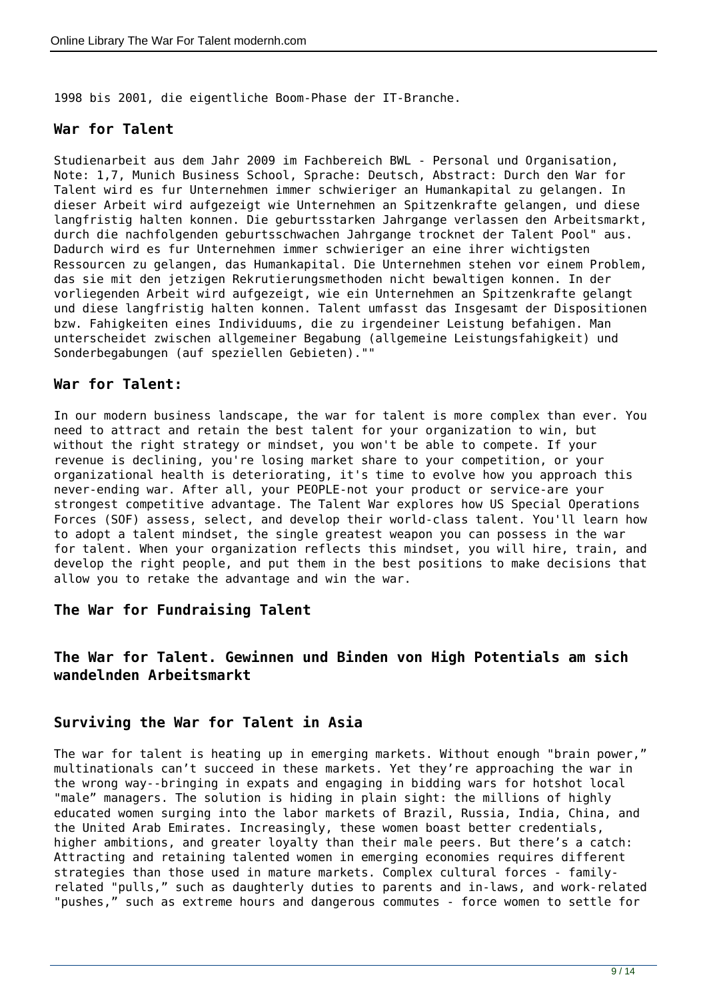1998 bis 2001, die eigentliche Boom-Phase der IT-Branche.

#### **War for Talent**

Studienarbeit aus dem Jahr 2009 im Fachbereich BWL - Personal und Organisation, Note: 1,7, Munich Business School, Sprache: Deutsch, Abstract: Durch den War for Talent wird es fur Unternehmen immer schwieriger an Humankapital zu gelangen. In dieser Arbeit wird aufgezeigt wie Unternehmen an Spitzenkrafte gelangen, und diese langfristig halten konnen. Die geburtsstarken Jahrgange verlassen den Arbeitsmarkt, durch die nachfolgenden geburtsschwachen Jahrgange trocknet der Talent Pool" aus. Dadurch wird es fur Unternehmen immer schwieriger an eine ihrer wichtigsten Ressourcen zu gelangen, das Humankapital. Die Unternehmen stehen vor einem Problem, das sie mit den jetzigen Rekrutierungsmethoden nicht bewaltigen konnen. In der vorliegenden Arbeit wird aufgezeigt, wie ein Unternehmen an Spitzenkrafte gelangt und diese langfristig halten konnen. Talent umfasst das Insgesamt der Dispositionen bzw. Fahigkeiten eines Individuums, die zu irgendeiner Leistung befahigen. Man unterscheidet zwischen allgemeiner Begabung (allgemeine Leistungsfahigkeit) und Sonderbegabungen (auf speziellen Gebieten).""

#### **War for Talent:**

In our modern business landscape, the war for talent is more complex than ever. You need to attract and retain the best talent for your organization to win, but without the right strategy or mindset, you won't be able to compete. If your revenue is declining, you're losing market share to your competition, or your organizational health is deteriorating, it's time to evolve how you approach this never-ending war. After all, your PEOPLE-not your product or service-are your strongest competitive advantage. The Talent War explores how US Special Operations Forces (SOF) assess, select, and develop their world-class talent. You'll learn how to adopt a talent mindset, the single greatest weapon you can possess in the war for talent. When your organization reflects this mindset, you will hire, train, and develop the right people, and put them in the best positions to make decisions that allow you to retake the advantage and win the war.

#### **The War for Fundraising Talent**

## **The War for Talent. Gewinnen und Binden von High Potentials am sich wandelnden Arbeitsmarkt**

## **Surviving the War for Talent in Asia**

The war for talent is heating up in emerging markets. Without enough "brain power," multinationals can't succeed in these markets. Yet they're approaching the war in the wrong way--bringing in expats and engaging in bidding wars for hotshot local "male" managers. The solution is hiding in plain sight: the millions of highly educated women surging into the labor markets of Brazil, Russia, India, China, and the United Arab Emirates. Increasingly, these women boast better credentials, higher ambitions, and greater loyalty than their male peers. But there's a catch: Attracting and retaining talented women in emerging economies requires different strategies than those used in mature markets. Complex cultural forces - familyrelated "pulls," such as daughterly duties to parents and in-laws, and work-related "pushes," such as extreme hours and dangerous commutes - force women to settle for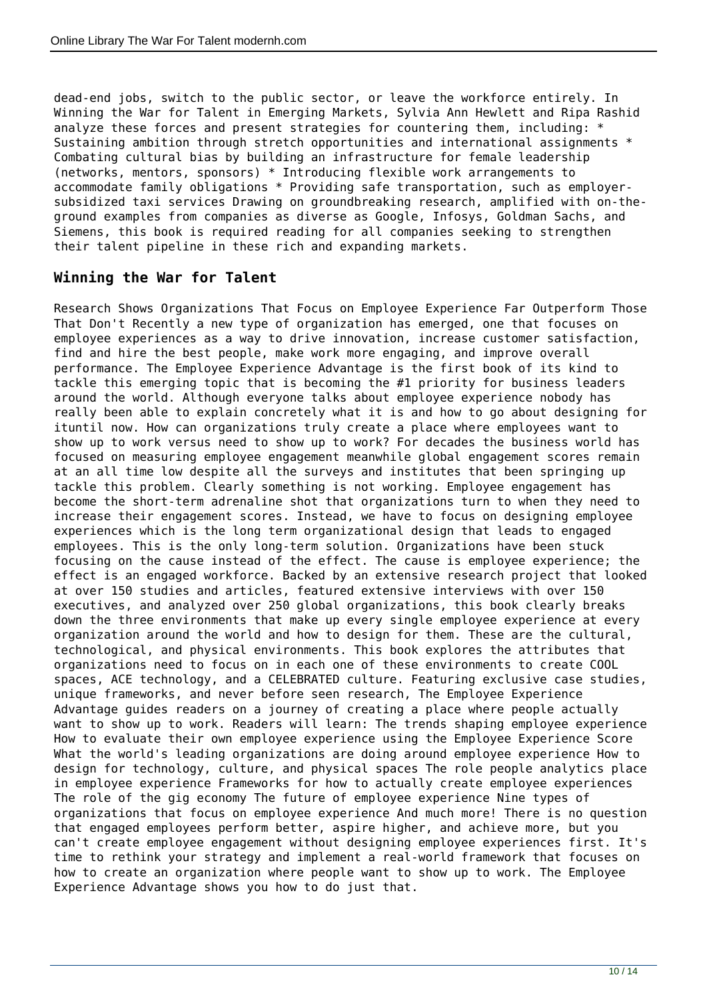dead-end jobs, switch to the public sector, or leave the workforce entirely. In Winning the War for Talent in Emerging Markets, Sylvia Ann Hewlett and Ripa Rashid analyze these forces and present strategies for countering them, including: \* Sustaining ambition through stretch opportunities and international assignments \* Combating cultural bias by building an infrastructure for female leadership (networks, mentors, sponsors) \* Introducing flexible work arrangements to accommodate family obligations \* Providing safe transportation, such as employersubsidized taxi services Drawing on groundbreaking research, amplified with on-theground examples from companies as diverse as Google, Infosys, Goldman Sachs, and Siemens, this book is required reading for all companies seeking to strengthen their talent pipeline in these rich and expanding markets.

#### **Winning the War for Talent**

Research Shows Organizations That Focus on Employee Experience Far Outperform Those That Don't Recently a new type of organization has emerged, one that focuses on employee experiences as a way to drive innovation, increase customer satisfaction, find and hire the best people, make work more engaging, and improve overall performance. The Employee Experience Advantage is the first book of its kind to tackle this emerging topic that is becoming the #1 priority for business leaders around the world. Although everyone talks about employee experience nobody has really been able to explain concretely what it is and how to go about designing for ituntil now. How can organizations truly create a place where employees want to show up to work versus need to show up to work? For decades the business world has focused on measuring employee engagement meanwhile global engagement scores remain at an all time low despite all the surveys and institutes that been springing up tackle this problem. Clearly something is not working. Employee engagement has become the short-term adrenaline shot that organizations turn to when they need to increase their engagement scores. Instead, we have to focus on designing employee experiences which is the long term organizational design that leads to engaged employees. This is the only long-term solution. Organizations have been stuck focusing on the cause instead of the effect. The cause is employee experience; the effect is an engaged workforce. Backed by an extensive research project that looked at over 150 studies and articles, featured extensive interviews with over 150 executives, and analyzed over 250 global organizations, this book clearly breaks down the three environments that make up every single employee experience at every organization around the world and how to design for them. These are the cultural, technological, and physical environments. This book explores the attributes that organizations need to focus on in each one of these environments to create COOL spaces, ACE technology, and a CELEBRATED culture. Featuring exclusive case studies, unique frameworks, and never before seen research, The Employee Experience Advantage guides readers on a journey of creating a place where people actually want to show up to work. Readers will learn: The trends shaping employee experience How to evaluate their own employee experience using the Employee Experience Score What the world's leading organizations are doing around employee experience How to design for technology, culture, and physical spaces The role people analytics place in employee experience Frameworks for how to actually create employee experiences The role of the gig economy The future of employee experience Nine types of organizations that focus on employee experience And much more! There is no question that engaged employees perform better, aspire higher, and achieve more, but you can't create employee engagement without designing employee experiences first. It's time to rethink your strategy and implement a real-world framework that focuses on how to create an organization where people want to show up to work. The Employee Experience Advantage shows you how to do just that.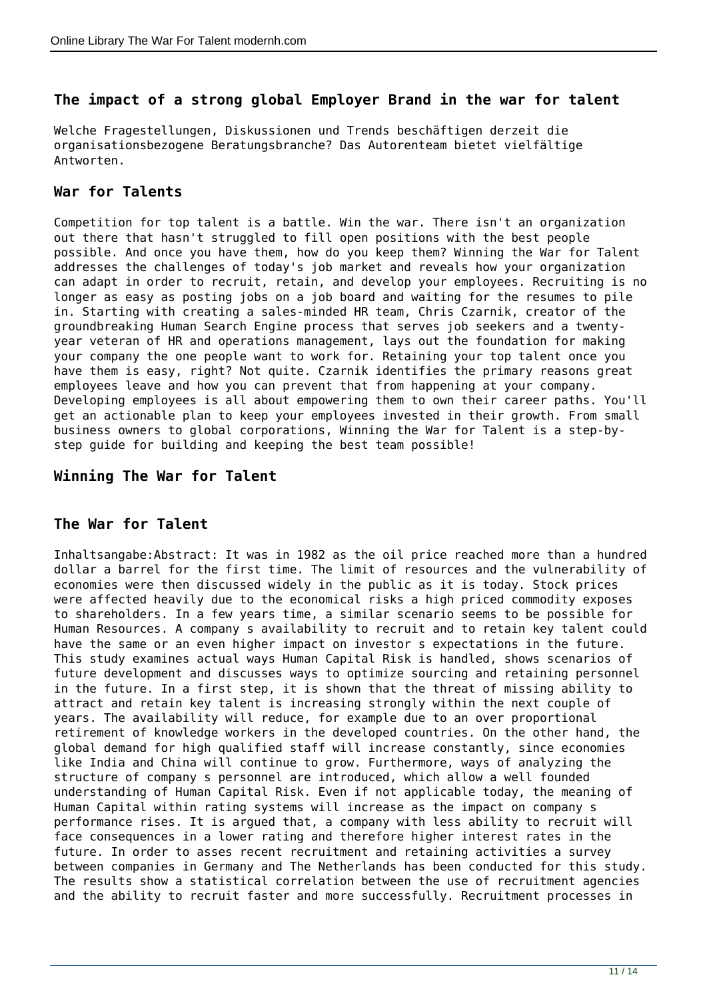#### **The impact of a strong global Employer Brand in the war for talent**

Welche Fragestellungen, Diskussionen und Trends beschäftigen derzeit die organisationsbezogene Beratungsbranche? Das Autorenteam bietet vielfältige Antworten.

#### **War for Talents**

Competition for top talent is a battle. Win the war. There isn't an organization out there that hasn't struggled to fill open positions with the best people possible. And once you have them, how do you keep them? Winning the War for Talent addresses the challenges of today's job market and reveals how your organization can adapt in order to recruit, retain, and develop your employees. Recruiting is no longer as easy as posting jobs on a job board and waiting for the resumes to pile in. Starting with creating a sales-minded HR team, Chris Czarnik, creator of the groundbreaking Human Search Engine process that serves job seekers and a twentyyear veteran of HR and operations management, lays out the foundation for making your company the one people want to work for. Retaining your top talent once you have them is easy, right? Not quite. Czarnik identifies the primary reasons great employees leave and how you can prevent that from happening at your company. Developing employees is all about empowering them to own their career paths. You'll get an actionable plan to keep your employees invested in their growth. From small business owners to global corporations, Winning the War for Talent is a step-bystep guide for building and keeping the best team possible!

#### **Winning The War for Talent**

## **The War for Talent**

Inhaltsangabe:Abstract: It was in 1982 as the oil price reached more than a hundred dollar a barrel for the first time. The limit of resources and the vulnerability of economies were then discussed widely in the public as it is today. Stock prices were affected heavily due to the economical risks a high priced commodity exposes to shareholders. In a few years time, a similar scenario seems to be possible for Human Resources. A company s availability to recruit and to retain key talent could have the same or an even higher impact on investor s expectations in the future. This study examines actual ways Human Capital Risk is handled, shows scenarios of future development and discusses ways to optimize sourcing and retaining personnel in the future. In a first step, it is shown that the threat of missing ability to attract and retain key talent is increasing strongly within the next couple of years. The availability will reduce, for example due to an over proportional retirement of knowledge workers in the developed countries. On the other hand, the global demand for high qualified staff will increase constantly, since economies like India and China will continue to grow. Furthermore, ways of analyzing the structure of company s personnel are introduced, which allow a well founded understanding of Human Capital Risk. Even if not applicable today, the meaning of Human Capital within rating systems will increase as the impact on company s performance rises. It is argued that, a company with less ability to recruit will face consequences in a lower rating and therefore higher interest rates in the future. In order to asses recent recruitment and retaining activities a survey between companies in Germany and The Netherlands has been conducted for this study. The results show a statistical correlation between the use of recruitment agencies and the ability to recruit faster and more successfully. Recruitment processes in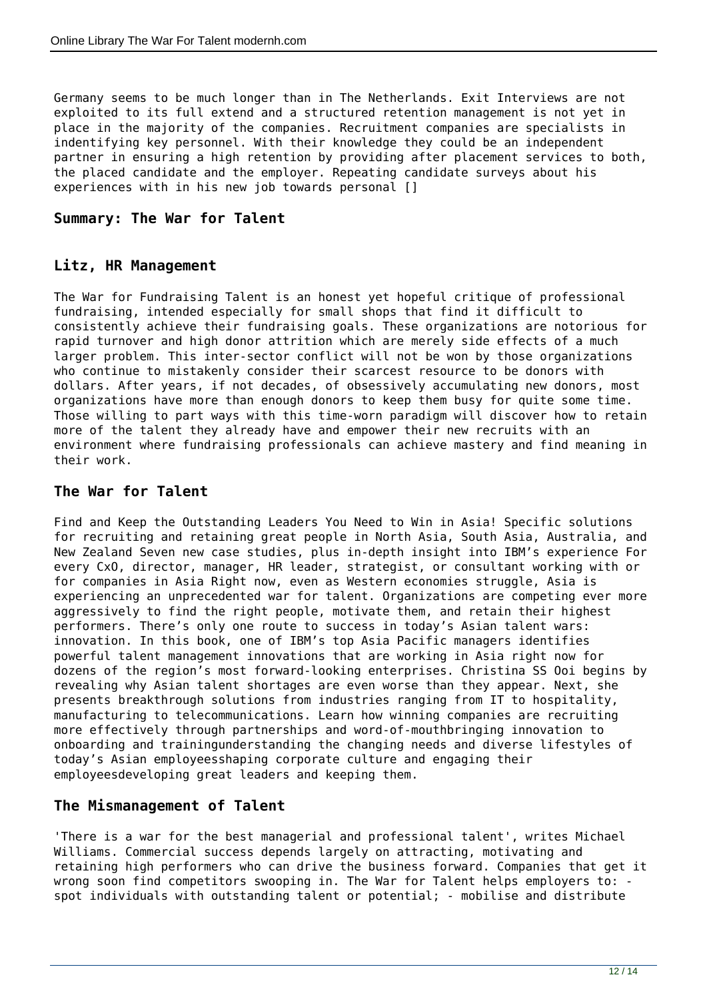Germany seems to be much longer than in The Netherlands. Exit Interviews are not exploited to its full extend and a structured retention management is not yet in place in the majority of the companies. Recruitment companies are specialists in indentifying key personnel. With their knowledge they could be an independent partner in ensuring a high retention by providing after placement services to both, the placed candidate and the employer. Repeating candidate surveys about his experiences with in his new job towards personal []

## **Summary: The War for Talent**

#### **Litz, HR Management**

The War for Fundraising Talent is an honest yet hopeful critique of professional fundraising, intended especially for small shops that find it difficult to consistently achieve their fundraising goals. These organizations are notorious for rapid turnover and high donor attrition which are merely side effects of a much larger problem. This inter-sector conflict will not be won by those organizations who continue to mistakenly consider their scarcest resource to be donors with dollars. After years, if not decades, of obsessively accumulating new donors, most organizations have more than enough donors to keep them busy for quite some time. Those willing to part ways with this time-worn paradigm will discover how to retain more of the talent they already have and empower their new recruits with an environment where fundraising professionals can achieve mastery and find meaning in their work.

#### **The War for Talent**

Find and Keep the Outstanding Leaders You Need to Win in Asia! Specific solutions for recruiting and retaining great people in North Asia, South Asia, Australia, and New Zealand Seven new case studies, plus in-depth insight into IBM's experience For every CxO, director, manager, HR leader, strategist, or consultant working with or for companies in Asia Right now, even as Western economies struggle, Asia is experiencing an unprecedented war for talent. Organizations are competing ever more aggressively to find the right people, motivate them, and retain their highest performers. There's only one route to success in today's Asian talent wars: innovation. In this book, one of IBM's top Asia Pacific managers identifies powerful talent management innovations that are working in Asia right now for dozens of the region's most forward-looking enterprises. Christina SS Ooi begins by revealing why Asian talent shortages are even worse than they appear. Next, she presents breakthrough solutions from industries ranging from IT to hospitality, manufacturing to telecommunications. Learn how winning companies are recruiting more effectively through partnerships and word-of-mouthbringing innovation to onboarding and trainingunderstanding the changing needs and diverse lifestyles of today's Asian employeesshaping corporate culture and engaging their employeesdeveloping great leaders and keeping them.

#### **The Mismanagement of Talent**

'There is a war for the best managerial and professional talent', writes Michael Williams. Commercial success depends largely on attracting, motivating and retaining high performers who can drive the business forward. Companies that get it wrong soon find competitors swooping in. The War for Talent helps employers to: spot individuals with outstanding talent or potential; - mobilise and distribute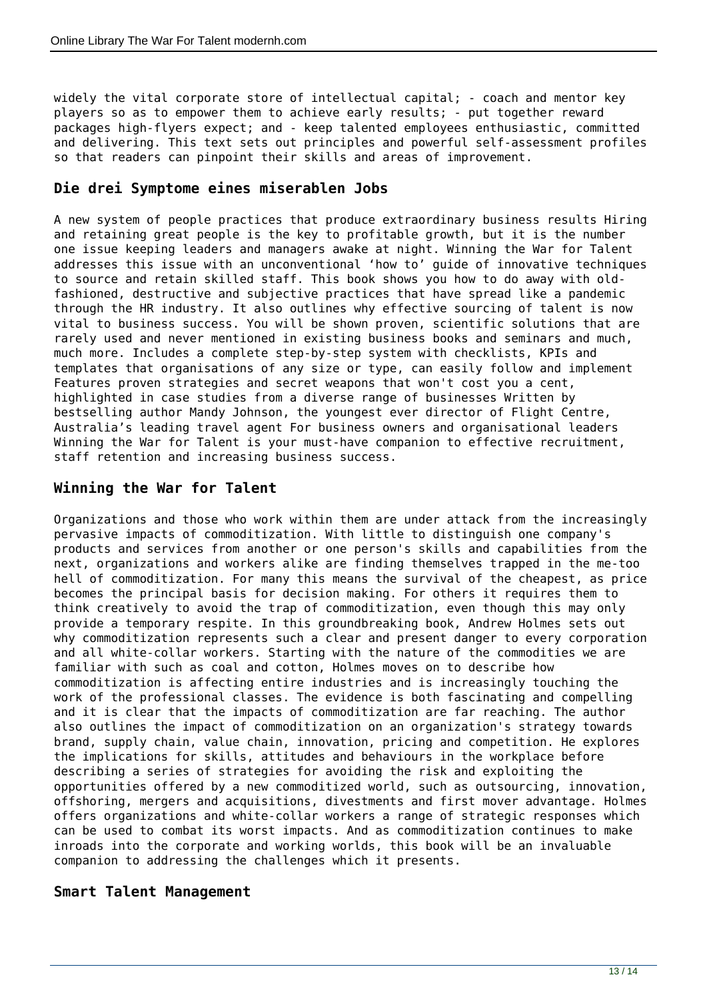widely the vital corporate store of intellectual capital; - coach and mentor key players so as to empower them to achieve early results; - put together reward packages high-flyers expect; and - keep talented employees enthusiastic, committed and delivering. This text sets out principles and powerful self-assessment profiles so that readers can pinpoint their skills and areas of improvement.

#### **Die drei Symptome eines miserablen Jobs**

A new system of people practices that produce extraordinary business results Hiring and retaining great people is the key to profitable growth, but it is the number one issue keeping leaders and managers awake at night. Winning the War for Talent addresses this issue with an unconventional 'how to' guide of innovative techniques to source and retain skilled staff. This book shows you how to do away with oldfashioned, destructive and subjective practices that have spread like a pandemic through the HR industry. It also outlines why effective sourcing of talent is now vital to business success. You will be shown proven, scientific solutions that are rarely used and never mentioned in existing business books and seminars and much, much more. Includes a complete step-by-step system with checklists, KPIs and templates that organisations of any size or type, can easily follow and implement Features proven strategies and secret weapons that won't cost you a cent, highlighted in case studies from a diverse range of businesses Written by bestselling author Mandy Johnson, the youngest ever director of Flight Centre, Australia's leading travel agent For business owners and organisational leaders Winning the War for Talent is your must-have companion to effective recruitment, staff retention and increasing business success.

## **Winning the War for Talent**

Organizations and those who work within them are under attack from the increasingly pervasive impacts of commoditization. With little to distinguish one company's products and services from another or one person's skills and capabilities from the next, organizations and workers alike are finding themselves trapped in the me-too hell of commoditization. For many this means the survival of the cheapest, as price becomes the principal basis for decision making. For others it requires them to think creatively to avoid the trap of commoditization, even though this may only provide a temporary respite. In this groundbreaking book, Andrew Holmes sets out why commoditization represents such a clear and present danger to every corporation and all white-collar workers. Starting with the nature of the commodities we are familiar with such as coal and cotton, Holmes moves on to describe how commoditization is affecting entire industries and is increasingly touching the work of the professional classes. The evidence is both fascinating and compelling and it is clear that the impacts of commoditization are far reaching. The author also outlines the impact of commoditization on an organization's strategy towards brand, supply chain, value chain, innovation, pricing and competition. He explores the implications for skills, attitudes and behaviours in the workplace before describing a series of strategies for avoiding the risk and exploiting the opportunities offered by a new commoditized world, such as outsourcing, innovation, offshoring, mergers and acquisitions, divestments and first mover advantage. Holmes offers organizations and white-collar workers a range of strategic responses which can be used to combat its worst impacts. And as commoditization continues to make inroads into the corporate and working worlds, this book will be an invaluable companion to addressing the challenges which it presents.

#### **Smart Talent Management**